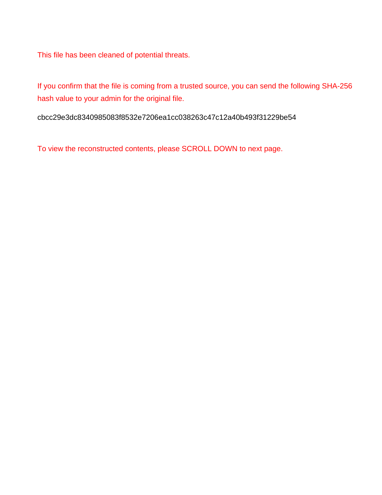This file has been cleaned of potential threats.

If you confirm that the file is coming from a trusted source, you can send the following SHA-256 hash value to your admin for the original file.

cbcc29e3dc8340985083f8532e7206ea1cc038263c47c12a40b493f31229be54

To view the reconstructed contents, please SCROLL DOWN to next page.